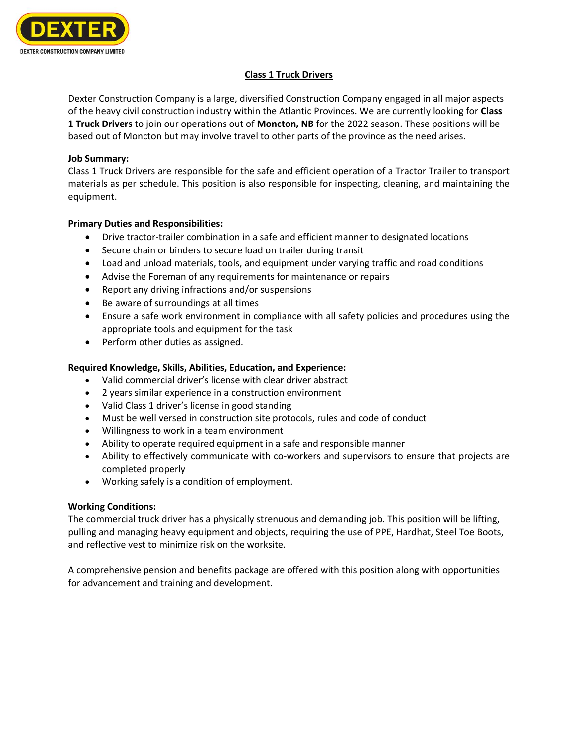

# **Class 1 Truck Drivers**

Dexter Construction Company is a large, diversified Construction Company engaged in all major aspects of the heavy civil construction industry within the Atlantic Provinces. We are currently looking for **Class 1 Truck Drivers** to join our operations out of **Moncton, NB** for the 2022 season. These positions will be based out of Moncton but may involve travel to other parts of the province as the need arises.

### **Job Summary:**

Class 1 Truck Drivers are responsible for the safe and efficient operation of a Tractor Trailer to transport materials as per schedule. This position is also responsible for inspecting, cleaning, and maintaining the equipment.

## **Primary Duties and Responsibilities:**

- Drive tractor-trailer combination in a safe and efficient manner to designated locations
- Secure chain or binders to secure load on trailer during transit
- Load and unload materials, tools, and equipment under varying traffic and road conditions
- Advise the Foreman of any requirements for maintenance or repairs
- Report any driving infractions and/or suspensions
- Be aware of surroundings at all times
- Ensure a safe work environment in compliance with all safety policies and procedures using the appropriate tools and equipment for the task
- Perform other duties as assigned.

## **Required Knowledge, Skills, Abilities, Education, and Experience:**

- Valid commercial driver's license with clear driver abstract
- 2 years similar experience in a construction environment
- Valid Class 1 driver's license in good standing
- Must be well versed in construction site protocols, rules and code of conduct
- Willingness to work in a team environment
- Ability to operate required equipment in a safe and responsible manner
- Ability to effectively communicate with co-workers and supervisors to ensure that projects are completed properly
- Working safely is a condition of employment.

## **Working Conditions:**

The commercial truck driver has a physically strenuous and demanding job. This position will be lifting, pulling and managing heavy equipment and objects, requiring the use of PPE, Hardhat, Steel Toe Boots, and reflective vest to minimize risk on the worksite.

A comprehensive pension and benefits package are offered with this position along with opportunities for advancement and training and development.